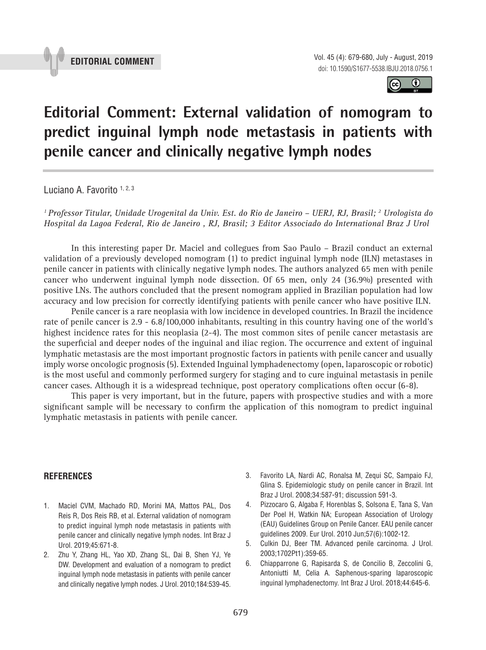

 $\odot$  $|$ (cc)

## **Editorial Comment: External validation of nomogram to predict inguinal lymph node metastasis in patients with penile cancer and clinically negative lymph nodes P** = 0.000 = 0.000 = 0.000 = 0.000 = 0.000 = 0.000 = 0.000 = 0.000 = 0.000 = 0.000 = 0.000 = 0.000 = 0.000 = 0.000 = 0.000 = 0.000 = 0.000 = 0.000 = 0.000 = 0.000 = 0.000 = 0.000 = 0.000 = 0.000 = 0.000 = 0.000 = 0.000 =

Luciano A. Favorito 1, 2, 3

*1 Professor Titular, Unidade Urogenital da Univ. Est. do Rio de Janeiro – UERJ, RJ, Brasil; 2 Urologista do Hospital da Lagoa Federal, Rio de Janeiro , RJ, Brasil; 3 Editor Associado do International Braz J Urol*

In this interesting paper Dr. Maciel and collegues from Sao Paulo – Brazil conduct an external validation of a previously developed nomogram (1) to predict inguinal lymph node (ILN) metastases in penile cancer in patients with clinically negative lymph nodes. The authors analyzed 65 men with penile cancer who underwent inguinal lymph node dissection. Of 65 men, only 24 (36.9%) presented with positive LNs. The authors concluded that the present nomogram applied in Brazilian population had low accuracy and low precision for correctly identifying patients with penile cancer who have positive ILN.

Penile cancer is a rare neoplasia with low incidence in developed countries. In Brazil the incidence rate of penile cancer is 2.9 - 6.8/100,000 inhabitants, resulting in this country having one of the world's highest incidence rates for this neoplasia (2-4). The most common sites of penile cancer metastasis are the superficial and deeper nodes of the inguinal and iliac region. The occurrence and extent of inguinal lymphatic metastasis are the most important prognostic factors in patients with penile cancer and usually imply worse oncologic prognosis (5). Extended Inguinal lymphadenectomy (open, laparoscopic or robotic) is the most useful and commonly performed surgery for staging and to cure inguinal metastasis in penile cancer cases. Although it is a widespread technique, post operatory complications often occur (6-8).

This paper is very important, but in the future, papers with prospective studies and with a more significant sample will be necessary to confirm the application of this nomogram to predict inguinal lymphatic metastasis in patients with penile cancer.

## **REFERENCES**

- 1. Maciel CVM, Machado RD, Morini MA, Mattos PAL, Dos Reis R, Dos Reis RB, et al. External validation of nomogram to predict inguinal lymph node metastasis in patients with penile cancer and clinically negative lymph nodes. Int Braz J Urol. 2019;45:671-8.
- 2. Zhu Y, Zhang HL, Yao XD, Zhang SL, Dai B, Shen YJ, Ye DW. Development and evaluation of a nomogram to predict inguinal lymph node metastasis in patients with penile cancer and clinically negative lymph nodes. J Urol. 2010;184:539-45.
- 3. Favorito LA, Nardi AC, Ronalsa M, Zequi SC, Sampaio FJ, Glina S. Epidemiologic study on penile cancer in Brazil. Int Braz J Urol. 2008;34:587-91; discussion 591-3.
- 4. Pizzocaro G, Algaba F, Horenblas S, Solsona E, Tana S, Van Der Poel H, Watkin NA; European Association of Urology (EAU) Guidelines Group on Penile Cancer. EAU penile cancer guidelines 2009. Eur Urol. 2010 Jun;57(6):1002-12.
- 5. Culkin DJ, Beer TM. Advanced penile carcinoma. J Urol. 2003;1702Pt1):359-65.
- 6. Chiapparrone G, Rapisarda S, de Concilio B, Zeccolini G, Antoniutti M, Celia A. Saphenous-sparing laparoscopic inguinal lymphadenectomy. Int Braz J Urol. 2018;44:645-6.